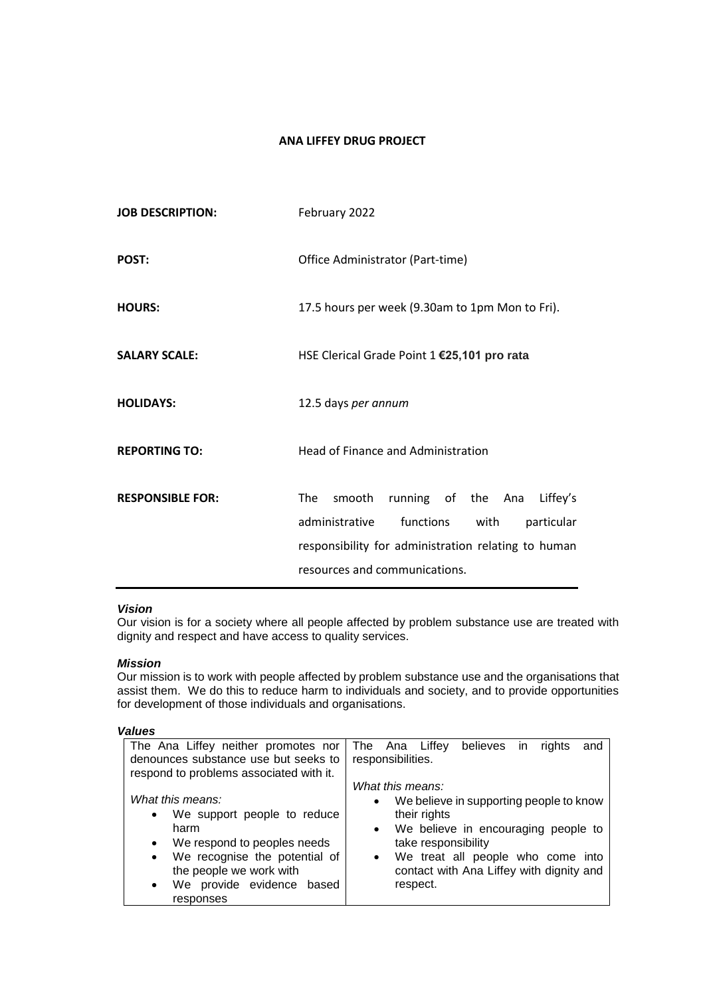# **ANA LIFFEY DRUG PROJECT**

| <b>JOB DESCRIPTION:</b> | February 2022                                                                                                                                                                                |
|-------------------------|----------------------------------------------------------------------------------------------------------------------------------------------------------------------------------------------|
| POST:                   | Office Administrator (Part-time)                                                                                                                                                             |
| <b>HOURS:</b>           | 17.5 hours per week (9.30am to 1pm Mon to Fri).                                                                                                                                              |
| <b>SALARY SCALE:</b>    | HSE Clerical Grade Point 1 €25,101 pro rata                                                                                                                                                  |
| <b>HOLIDAYS:</b>        | 12.5 days per annum                                                                                                                                                                          |
| <b>REPORTING TO:</b>    | <b>Head of Finance and Administration</b>                                                                                                                                                    |
| <b>RESPONSIBLE FOR:</b> | running of the Ana<br>The<br>smooth<br>Liffey's<br>functions<br>administrative<br>particular<br>with<br>responsibility for administration relating to human<br>resources and communications. |

## *Vision*

Our vision is for a society where all people affected by problem substance use are treated with dignity and respect and have access to quality services.

## *Mission*

Our mission is to work with people affected by problem substance use and the organisations that assist them. We do this to reduce harm to individuals and society, and to provide opportunities for development of those individuals and organisations.

| ×<br>×<br>×<br>۹<br>۰, |
|------------------------|
|------------------------|

| The Ana Liffey neither promotes nor<br>The Ana Liffey believes<br>rights<br>and<br>in.<br>denounces substance use but seeks to<br>responsibilities.<br>respond to problems associated with it.<br>What this means:<br>What this means:<br>We believe in supporting people to know<br>$\bullet$<br>their rights<br>We support people to reduce<br>$\bullet$<br>We believe in encouraging people to<br>harm<br>$\bullet$<br>We respond to peoples needs<br>take responsibility<br>$\bullet$ |                               |                                   |
|-------------------------------------------------------------------------------------------------------------------------------------------------------------------------------------------------------------------------------------------------------------------------------------------------------------------------------------------------------------------------------------------------------------------------------------------------------------------------------------------|-------------------------------|-----------------------------------|
|                                                                                                                                                                                                                                                                                                                                                                                                                                                                                           |                               |                                   |
|                                                                                                                                                                                                                                                                                                                                                                                                                                                                                           |                               |                                   |
| $\bullet$<br>$\bullet$<br>the people we work with<br>contact with Ana Liffey with dignity and<br>We provide evidence based<br>respect.<br>٠                                                                                                                                                                                                                                                                                                                                               | We recognise the potential of | We treat all people who come into |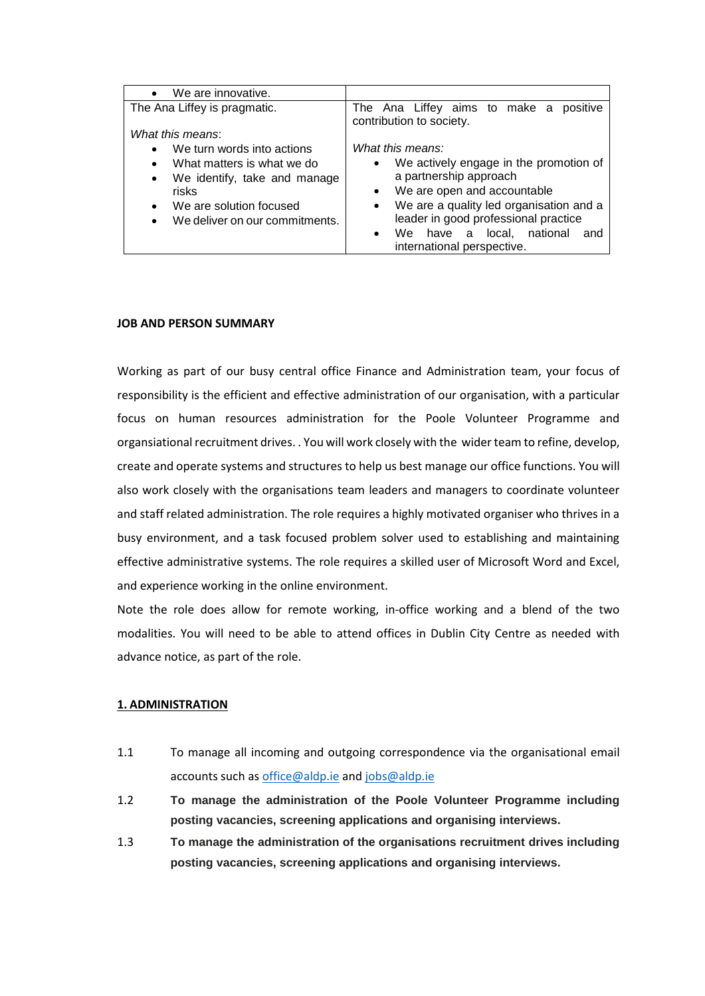| We are innovative.<br>$\bullet$                    |                                                                               |
|----------------------------------------------------|-------------------------------------------------------------------------------|
| The Ana Liffey is pragmatic.                       | The Ana Liffey aims to make a<br>positive<br>contribution to society.         |
| What this means:                                   |                                                                               |
| We turn words into actions<br>$\bullet$            | What this means:                                                              |
| What matters is what we do<br>$\bullet$            | We actively engage in the promotion of<br>$\bullet$<br>a partnership approach |
| We identify, take and manage<br>$\bullet$<br>risks | • We are open and accountable                                                 |
| We are solution focused<br>$\bullet$               | We are a quality led organisation and a<br>$\bullet$                          |
| We deliver on our commitments.<br>$\bullet$        | leader in good professional practice                                          |
|                                                    | national<br>local.<br>We<br>have a<br>and<br>$\bullet$                        |
|                                                    | international perspective.                                                    |

#### **JOB AND PERSON SUMMARY**

Working as part of our busy central office Finance and Administration team, your focus of responsibility is the efficient and effective administration of our organisation, with a particular focus on human resources administration for the Poole Volunteer Programme and organsiational recruitment drives. . You will work closely with the wider team to refine, develop, create and operate systems and structures to help us best manage our office functions. You will also work closely with the organisations team leaders and managers to coordinate volunteer and staff related administration. The role requires a highly motivated organiser who thrives in a busy environment, and a task focused problem solver used to establishing and maintaining effective administrative systems. The role requires a skilled user of Microsoft Word and Excel, and experience working in the online environment.

Note the role does allow for remote working, in-office working and a blend of the two modalities. You will need to be able to attend offices in Dublin City Centre as needed with advance notice, as part of the role.

### **1. ADMINISTRATION**

- 1.1 To manage all incoming and outgoing correspondence via the organisational email accounts such a[s office@aldp.ie](mailto:office@aldp.ie) and [jobs@aldp.ie](mailto:jobs@aldp.ie)
- 1.2 **To manage the administration of the Poole Volunteer Programme including posting vacancies, screening applications and organising interviews.**
- 1.3 **To manage the administration of the organisations recruitment drives including posting vacancies, screening applications and organising interviews.**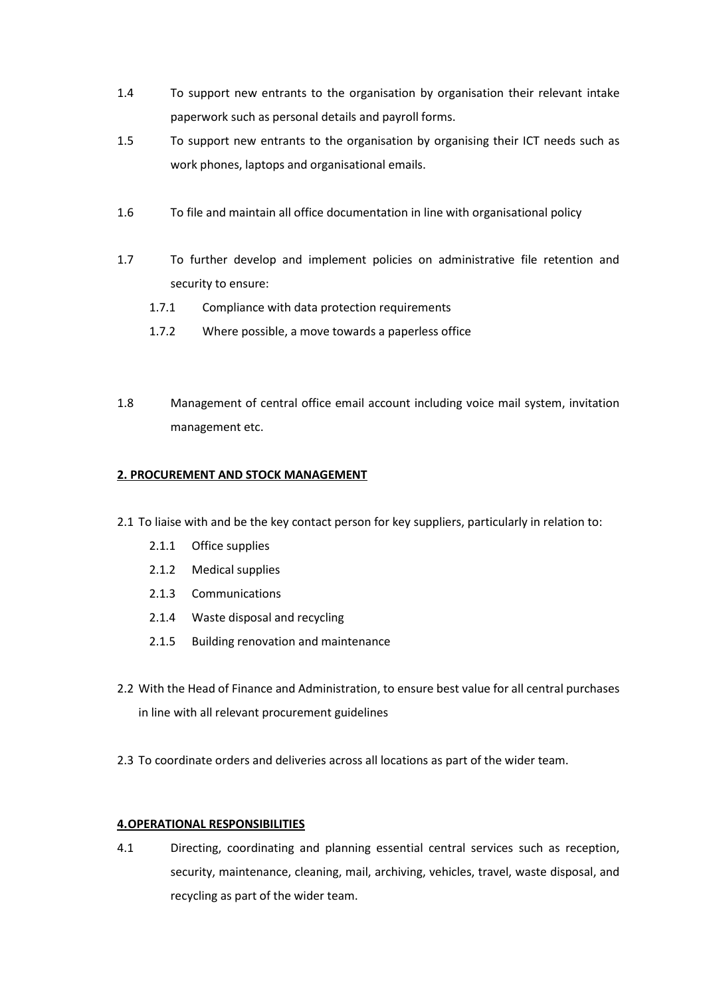- 1.4 To support new entrants to the organisation by organisation their relevant intake paperwork such as personal details and payroll forms.
- 1.5 To support new entrants to the organisation by organising their ICT needs such as work phones, laptops and organisational emails.
- 1.6 To file and maintain all office documentation in line with organisational policy
- 1.7 To further develop and implement policies on administrative file retention and security to ensure:
	- 1.7.1 Compliance with data protection requirements
	- 1.7.2 Where possible, a move towards a paperless office
- 1.8 Management of central office email account including voice mail system, invitation management etc.

## **2. PROCUREMENT AND STOCK MANAGEMENT**

- 2.1 To liaise with and be the key contact person for key suppliers, particularly in relation to:
	- 2.1.1 Office supplies
	- 2.1.2 Medical supplies
	- 2.1.3 Communications
	- 2.1.4 Waste disposal and recycling
	- 2.1.5 Building renovation and maintenance
- 2.2 With the Head of Finance and Administration, to ensure best value for all central purchases in line with all relevant procurement guidelines
- 2.3 To coordinate orders and deliveries across all locations as part of the wider team.

## **4.OPERATIONAL RESPONSIBILITIES**

4.1 Directing, coordinating and planning essential central services such as reception, security, maintenance, cleaning, mail, archiving, vehicles, travel, waste disposal, and recycling as part of the wider team.